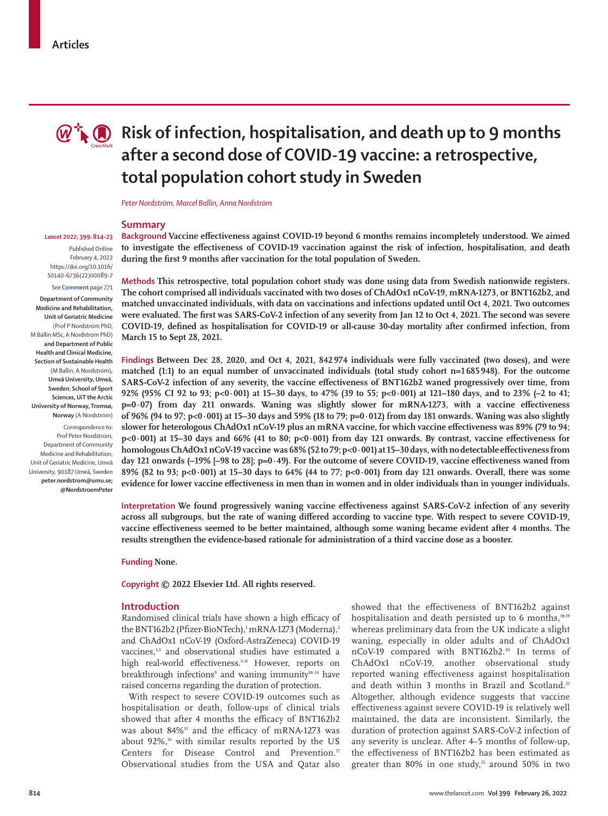

# **Risk of infection, hospitalisation, and death up to 9 months after a second dose of COVID-19 vaccine: a retrospective, total population cohort study in Sweden**

*Peter Nordström, Marcel Ballin, Anna Nordström*

**March 15 to Sept 28, 2021.**

*Lancet* **2022; 399: 814–23**

Published **Online** February 4, 2022 https://doi.org/10.1016/ S0140-6736(22)00089-7 See **Comment** page 771

**Department of Community Medicine and Rehabilitation, Unit of Geriatric Medicine**  (Prof P Nordström PhD, M Ballin MSc, A Nordström PhD) **and Department of Public Health and Clinical Medicine, Section of Sustainable Health** (M Ballin, A Nordström)**, Umeå University, Umeå, Sweden**; **School of Sport Sciences, UiT the Arctic University of Norway, Tromsø, Norway** (A Nordström)

Correspondence to: Prof Peter Nordström, Department of Community Medicine and Rehabilitation, Unit of Geriatric Medicine, Umeå University, 90187 Umeå, Sweden **peter.nordstrom@umu.se; @NordstroemPeter**

**Summary Background Vaccine effectiveness against COVID-19 beyond 6 months remains incompletely understood. We aimed to investigate the effectiveness of COVID-19 vaccination against the risk of infection, hospitalisation, and death** 

**during the first 9 months after vaccination for the total population of Sweden.** 

**Methods This retrospective, total population cohort study was done using data from Swedish nationwide registers. The cohort comprised all individuals vaccinated with two doses of ChAdOx1 nCoV-19, mRNA-1273, or BNT162b2, and matched unvaccinated individuals, with data on vaccinations and infections updated until Oct 4, 2021. Two outcomes were evaluated. The first was SARS-CoV-2 infection of any severity from Jan 12 to Oct 4, 2021. The second was severe COVID-19, defined as hospitalisation for COVID-19 or all-cause 30-day mortality after confirmed infection, from** 

**Findings Between Dec 28, 2020, and Oct 4, 2021, 842 974 individuals were fully vaccinated (two doses), and were matched (1:1) to an equal number of unvaccinated individuals (total study cohort n=1685948). For the outcome SARS-CoV-2 infection of any severity, the vaccine effectiveness of BNT162b2 waned progressively over time, from 92% (95% CI 92 to 93; p<0·001) at 15–30 days, to 47% (39 to 55; p<0·001) at 121–180 days, and to 23% (–2 to 41; p=0·07) from day 211 onwards. Waning was slightly slower for mRNA-1273, with a vaccine effectiveness of 96% (94 to 97; p<0·001) at 15–30 days and 59% (18 to 79; p=0·012) from day 181 onwards. Waning was also slightly slower for heterologous ChAdOx1 nCoV-19 plus an mRNA vaccine, for which vaccine effectiveness was 89% (79 to 94; p<0·001) at 15–30 days and 66% (41 to 80; p<0·001) from day 121 onwards. By contrast, vaccine effectiveness for homologous ChAdOx1 nCoV-19 vaccine was 68% (52 to 79; p<0·001) at 15–30 days, with no detectable effectiveness from day 121 onwards (–19% [–98 to 28]; p=0·49). For the outcome of severe COVID-19, vaccine effectiveness waned from 89% (82 to 93; p<0·001) at 15–30 days to 64% (44 to 77; p<0·001) from day 121 onwards. Overall, there was some evidence for lower vaccine effectiveness in men than in women and in older individuals than in younger individuals.**

**Interpretation We found progressively waning vaccine effectiveness against SARS-CoV-2 infection of any severity across all subgroups, but the rate of waning differed according to vaccine type. With respect to severe COVID-19, vaccine effectiveness seemed to be better maintained, although some waning became evident after 4 months. The results strengthen the evidence-based rationale for administration of a third vaccine dose as a booster.**

**Funding None.**

**Copyright © 2022 Elsevier Ltd. All rights reserved.**

#### **Introduction**

Randomised clinical trials have shown a high efficacy of the BNT162b2 (Pfizer-BioNTech),' mRNA-1273 (Moderna),<sup>2</sup> and ChAdOx1 nCoV-19 (Oxford-AstraZeneca) COVID-19 vaccines,<sup>3,4</sup> and observational studies have estimated a high real-world effectiveness.<sup>5-8</sup> However, reports on breakthrough infections<sup>9</sup> and waning immunity<sup>10-14</sup> have raised concerns regarding the duration of protection.

With respect to severe COVID-19 outcomes such as hospitalisation or death, follow-ups of clinical trials showed that after 4 months the efficacy of BNT162b2 was about 84%<sup>15</sup> and the efficacy of mRNA-1273 was about  $92\%$ ,<sup>16</sup> with similar results reported by the US Centers for Disease Control and Prevention.<sup>17</sup> Observational studies from the USA and Qatar also

showed that the effectiveness of BNT162b2 against hospitalisation and death persisted up to 6 months,<sup>18,19</sup> whereas preliminary data from the UK indicate a slight waning, especially in older adults and of ChAdOx1 nCoV-19 compared with BNT162b2.<sup>20</sup> In terms of ChAdOx1 nCoV-19, another observational study reported waning effectiveness against hospitalisation and death within 3 months in Brazil and Scotland.<sup>21</sup> Altogether, although evidence suggests that vaccine effectiveness against severe COVID-19 is relatively well maintained, the data are inconsistent. Similarly, the duration of protection against SARS-CoV-2 infection of any severity is unclear. After 4–5 months of follow-up, the effectiveness of BNT162b2 has been estimated as greater than  $80\%$  in one study,<sup>15</sup> around  $50\%$  in two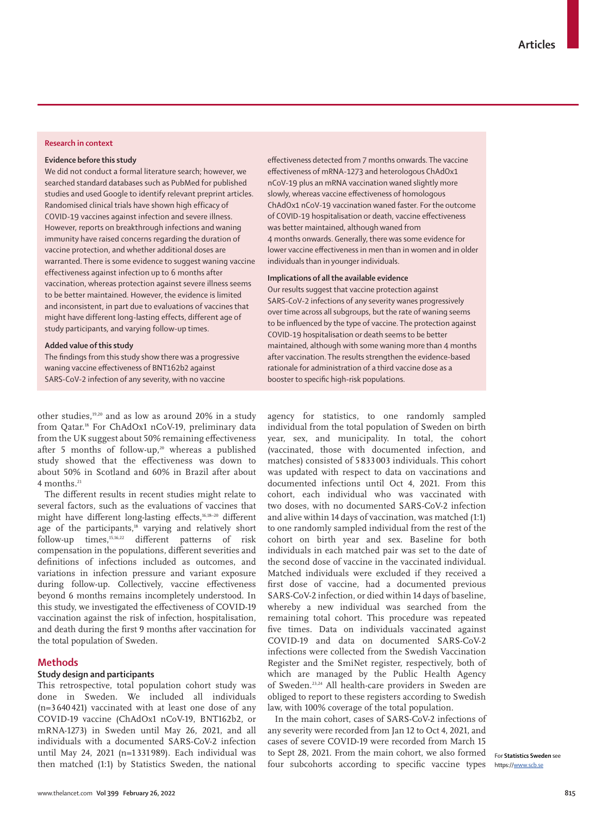## **Research in context**

#### **Evidence before this study**

We did not conduct a formal literature search; however, we searched standard databases such as PubMed for published studies and used Google to identify relevant preprint articles. Randomised clinical trials have shown high efficacy of COVID-19 vaccines against infection and severe illness. However, reports on breakthrough infections and waning immunity have raised concerns regarding the duration of vaccine protection, and whether additional doses are warranted. There is some evidence to suggest waning vaccine effectiveness against infection up to 6 months after vaccination, whereas protection against severe illness seems to be better maintained. However, the evidence is limited and inconsistent, in part due to evaluations of vaccines that might have different long-lasting effects, different age of study participants, and varying follow-up times.

## **Added value of this study**

The findings from this study show there was a progressive waning vaccine effectiveness of BNT162b2 against SARS-CoV-2 infection of any severity, with no vaccine

other studies,19,20 and as low as around 20% in a study from Qatar.18 For ChAdOx1 nCoV-19, preliminary data from the UK suggest about 50% remaining effectiveness after 5 months of follow-up,<sup>20</sup> whereas a published study showed that the effectiveness was down to about 50% in Scotland and 60% in Brazil after about  $4$  months<sup>21</sup>

The different results in recent studies might relate to several factors, such as the evaluations of vaccines that might have different long-lasting effects,<sup>16,18-20</sup> different age of the participants,<sup>18</sup> varying and relatively short follow-up times,15,16,22 different patterns of risk compensation in the populations, different severities and definitions of infections included as outcomes, and variations in infection pressure and variant exposure during follow-up. Collectively, vaccine effectiveness beyond 6 months remains incompletely understood. In this study, we investigated the effectiveness of COVID-19 vaccination against the risk of infection, hospitalisation, and death during the first 9 months after vaccination for the total population of Sweden.

## **Methods**

## **Study design and participants**

This retrospective, total population cohort study was done in Sweden. We included all individuals (n=3 640 421) vaccinated with at least one dose of any COVID-19 vaccine (ChAdOx1 nCoV-19, BNT162b2, or mRNA-1273) in Sweden until May 26, 2021, and all individuals with a documented SARS-CoV-2 infection until May 24, 2021 (n=1 331 989). Each individual was then matched (1:1) by [Statistics Sweden,](https://www.scb.se) the national effectiveness detected from 7 months onwards. The vaccine effectiveness of mRNA-1273 and heterologous ChAdOx1 nCoV-19 plus an mRNA vaccination waned slightly more slowly, whereas vaccine effectiveness of homologous ChAdOx1 nCoV-19 vaccination waned faster. For the outcome of COVID-19 hospitalisation or death, vaccine effectiveness was better maintained, although waned from 4 months onwards. Generally, there was some evidence for lower vaccine effectiveness in men than in women and in older individuals than in younger individuals.

## **Implications of all the available evidence**

Our results suggest that vaccine protection against SARS-CoV-2 infections of any severity wanes progressively over time across all subgroups, but the rate of waning seems to be influenced by the type of vaccine. The protection against COVID-19 hospitalisation or death seems to be better maintained, although with some waning more than 4 months after vaccination. The results strengthen the evidence-based rationale for administration of a third vaccine dose as a booster to specific high-risk populations.

agency for statistics, to one randomly sampled individual from the total population of Sweden on birth year, sex, and municipality. In total, the cohort (vaccinated, those with documented infection, and matches) consisted of 5 833 003 individuals. This cohort was updated with respect to data on vaccinations and documented infections until Oct 4, 2021. From this cohort, each individual who was vaccinated with two doses, with no documented SARS-CoV-2 infection and alive within 14 days of vaccination, was matched (1:1) to one randomly sampled individual from the rest of the cohort on birth year and sex. Baseline for both individuals in each matched pair was set to the date of the second dose of vaccine in the vaccinated individual. Matched individuals were excluded if they received a first dose of vaccine, had a documented previous SARS-CoV-2 infection, or died within 14 days of baseline, whereby a new individual was searched from the remaining total cohort. This procedure was repeated five times. Data on individuals vaccinated against COVID-19 and data on documented SARS-CoV-2 infections were collected from the Swedish Vaccination Register and the SmiNet register, respectively, both of which are managed by the Public Health Agency of Sweden.23,24 All health-care providers in Sweden are obliged to report to these registers according to Swedish law, with 100% coverage of the total population.

In the main cohort, cases of SARS-CoV-2 infections of any severity were recorded from Jan 12 to Oct 4, 2021, and cases of severe COVID-19 were recorded from March 15 to Sept 28, 2021. From the main cohort, we also formed four subcohorts according to specific vaccine types

For **Statistics Sweden** see https:/[/www.scb.se](http://www.scb.se)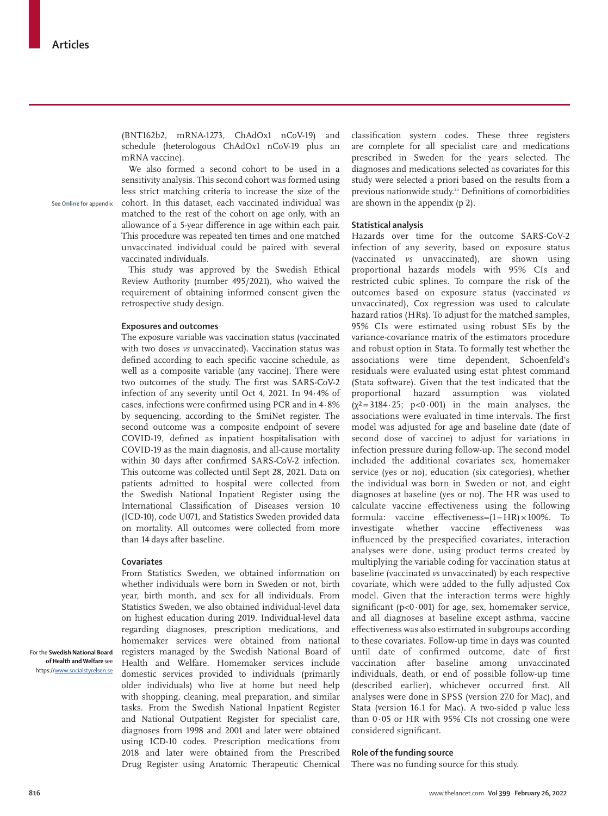See **Online** for appendix

(BNT162b2, mRNA-1273, ChAdOx1 nCoV-19) and schedule (heterologous ChAdOx1 nCoV-19 plus an mRNA vaccine).

We also formed a second cohort to be used in a sensitivity analysis. This second cohort was formed using less strict matching criteria to increase the size of the cohort. In this dataset, each vaccinated individual was matched to the rest of the cohort on age only, with an allowance of a 5-year difference in age within each pair. This procedure was repeated ten times and one matched unvaccinated individual could be paired with several vaccinated individuals.

This study was approved by the Swedish Ethical Review Authority (number 495/2021), who waived the requirement of obtaining informed consent given the retrospective study design.

#### **Exposures and outcomes**

The exposure variable was vaccination status (vaccinated with two doses *vs* unvaccinated). Vaccination status was defined according to each specific vaccine schedule, as well as a composite variable (any vaccine). There were two outcomes of the study. The first was SARS-CoV-2 infection of any severity until Oct 4, 2021. In 94·4% of cases, infections were confirmed using PCR and in 4·8% by sequencing, according to the SmiNet register. The second outcome was a composite endpoint of severe COVID-19, defined as inpatient hospitalisation with COVID-19 as the main diagnosis, and all-cause mortality within 30 days after confirmed SARS-CoV-2 infection. This outcome was collected until Sept 28, 2021. Data on patients admitted to hospital were collected from the Swedish National Inpatient Register using the International Classification of Diseases version 10 (ICD-10), code U071, and Statistics Sweden provided data on mortality. All outcomes were collected from more than 14 days after baseline.

#### **Covariates**

From Statistics Sweden, we obtained information on whether individuals were born in Sweden or not, birth year, birth month, and sex for all individuals. From Statistics Sweden, we also obtained individual-level data on highest education during 2019. Individual-level data regarding diagnoses, prescription medications, and homemaker services were obtained from national registers managed by the [Swedish National Board of](https://www.socialstyrelsen.se) [Health and Welfare.](https://www.socialstyrelsen.se) Homemaker services include domestic services provided to individuals (primarily older individuals) who live at home but need help with shopping, cleaning, meal preparation, and similar tasks. From the Swedish National Inpatient Register and National Outpatient Register for specialist care, diagnoses from 1998 and 2001 and later were obtained using ICD-10 codes. Prescription medications from 2018 and later were obtained from the Prescribed Drug Register using Anatomic Therapeutic Chemical classification system codes. These three registers are complete for all specialist care and medications prescribed in Sweden for the years selected. The diagnoses and medications selected as covariates for this study were selected a priori based on the results from a previous nationwide study.25 Definitions of comorbidities are shown in the appendix (p 2).

## **Statistical analysis**

Hazards over time for the outcome SARS-CoV-2 infection of any severity, based on exposure status (vaccinated *vs* unvaccinated), are shown using proportional hazards models with 95% CIs and restricted cubic splines. To compare the risk of the outcomes based on exposure status (vaccinated *vs* unvaccinated), Cox regression was used to calculate hazard ratios (HRs). To adjust for the matched samples, 95% CIs were estimated using robust SEs by the variance-covariance matrix of the estimators procedure and robust option in Stata. To formally test whether the associations were time dependent, Schoenfeld's residuals were evaluated using estat phtest command (Stata software). Given that the test indicated that the proportional hazard assumption was violated  $(\chi^2 = 3184 \cdot 25; p < 0.001)$  in the main analyses, the associations were evaluated in time intervals. The first model was adjusted for age and baseline date (date of second dose of vaccine) to adjust for variations in infection pressure during follow-up. The second model included the additional covariates sex, homemaker service (yes or no), education (six categories), whether the individual was born in Sweden or not, and eight diagnoses at baseline (yes or no). The HR was used to calculate vaccine effectiveness using the following formula: vaccine effectiveness=(1 – HR) × 100%. To investigate whether vaccine effectiveness was influenced by the prespecified covariates, interaction analyses were done, using product terms created by multiplying the variable coding for vaccination status at baseline (vaccinated *vs* unvaccinated) by each respective covariate, which were added to the fully adjusted Cox model. Given that the interaction terms were highly significant ( $p<0.001$ ) for age, sex, homemaker service, and all diagnoses at baseline except asthma, vaccine effectiveness was also estimated in subgroups according to these covariates. Follow-up time in days was counted until date of confirmed outcome, date of first vaccination after baseline among unvaccinated individuals, death, or end of possible follow-up time (described earlier), whichever occurred first. All analyses were done in SPSS (version 27.0 for Mac), and Stata (version 16.1 for Mac). A two-sided p value less than 0·05 or HR with 95% CIs not crossing one were considered significant.

## **Role of the funding source**

There was no funding source for this study.

For the **Swedish National Board of Health and Welfare** see https://[www.socialstyrelsen.se](http://www.socialstyrelsen.se)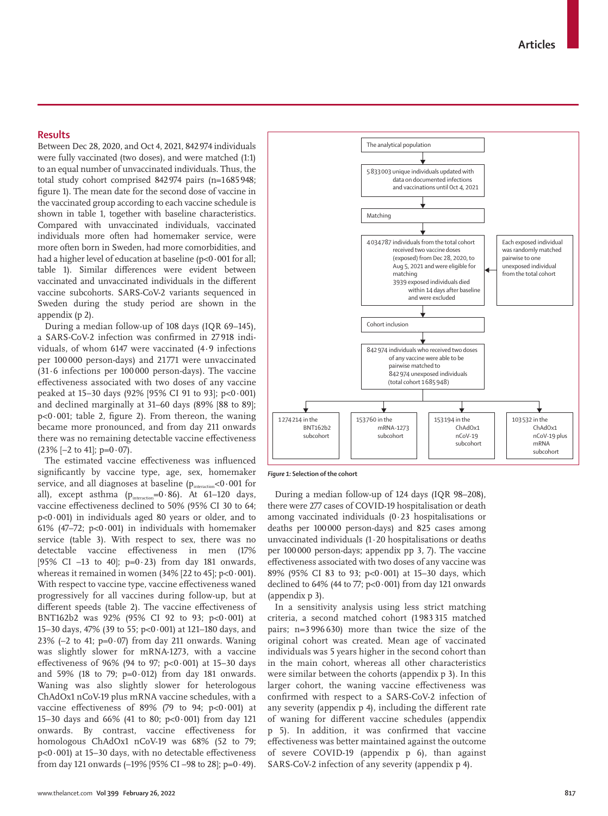## **Results**

Between Dec 28, 2020, and Oct 4, 2021, 842974 individuals were fully vaccinated (two doses), and were matched (1:1) to an equal number of unvaccinated individuals. Thus, the total study cohort comprised 842974 pairs (n=1685948; figure 1). The mean date for the second dose of vaccine in the vaccinated group according to each vaccine schedule is shown in table 1, together with baseline characteristics. Compared with unvaccinated individuals, vaccinated individuals more often had homemaker service, were more often born in Sweden, had more comorbidities, and had a higher level of education at baseline (p<0.001 for all: table 1). Similar differences were evident between vaccinated and unvaccinated individuals in the different vaccine subcohorts. SARS-CoV-2 variants sequenced in Sweden during the study period are shown in the appendix (p 2).

During a median follow-up of 108 days (IQR 69–145), a SARS-CoV-2 infection was confirmed in 27 918 individuals, of whom 6147 were vaccinated (4·9 infections per 100 000 person-days) and 21 771 were unvaccinated (31·6 infections per 100 000 person-days). The vaccine effectiveness associated with two doses of any vaccine peaked at 15–30 days (92% [95% CI 91 to 93]; p<0·001) and declined marginally at 31–60 days (89% [88 to 89];  $p<0.001$ ; table 2, figure 2). From thereon, the waning became more pronounced, and from day 211 onwards there was no remaining detectable vaccine effectiveness  $(23\%$  [-2 to 41]; p=0 $\cdot$ 07).

The estimated vaccine effectiveness was influenced significantly by vaccine type, age, sex, homemaker service, and all diagnoses at baseline  $(p_{intraction} < 0.001$  for all), except asthma  $(p_{interaction}=0.86)$ . At 61-120 days, vaccine effectiveness declined to 50% (95% CI 30 to 64;  $p<0.001$ ) in individuals aged 80 years or older, and to 61% (47–72; p<0·001) in individuals with homemaker service (table 3). With respect to sex, there was no detectable vaccine effectiveness in men (17% [95% CI –13 to 40];  $p=0.23$ ] from day 181 onwards, whereas it remained in women (34% [22 to 45];  $p<0.001$ ). With respect to vaccine type, vaccine effectiveness waned progressively for all vaccines during follow-up, but at different speeds (table 2). The vaccine effectiveness of BNT162b2 was 92% (95% CI 92 to 93; p<0·001) at 15–30 days, 47% (39 to 55; p<0·001) at 121–180 days, and 23% (-2 to 41;  $p=0.07$ ) from day 211 onwards. Waning was slightly slower for mRNA-1273, with a vaccine effectiveness of 96% (94 to 97; p<0·001) at 15–30 days and 59% (18 to 79;  $p=0.012$ ) from day 181 onwards. Waning was also slightly slower for heterologous ChAdOx1 nCoV-19 plus mRNA vaccine schedules, with a vaccine effectiveness of 89% (79 to 94;  $p < 0.001$ ) at 15–30 days and 66% (41 to 80; p<0 $0.001$ ) from day 121 onwards. By contrast, vaccine effectiveness for homologous ChAdOx1 nCoV-19 was 68% (52 to 79;  $p<0.001$ ) at 15–30 days, with no detectable effectiveness from day 121 onwards  $(-19\% 195\% CI - 98$  to 28; p=0 $\cdot$ 49).



*Figure 1:* **Selection of the cohort**

During a median follow-up of 124 days (IQR 98–208), there were 277 cases of COVID-19 hospitalisation or death among vaccinated individuals (0·23 hospitalisations or deaths per 100000 person-days) and 825 cases among unvaccinated individuals (1·20 hospitalisations or deaths per 100000 person-days; appendix pp 3, 7). The vaccine effectiveness associated with two doses of any vaccine was 89% (95% CI 83 to 93; p<0·001) at 15–30 days, which declined to  $64\%$  (44 to 77; p<0 $\cdot$ 001) from day 121 onwards (appendix p 3).

In a sensitivity analysis using less strict matching criteria, a second matched cohort (1 983 315 matched pairs; n=3 996 630) more than twice the size of the original cohort was created. Mean age of vaccinated individuals was 5 years higher in the second cohort than in the main cohort, whereas all other characteristics were similar between the cohorts (appendix p 3). In this larger cohort, the waning vaccine effectiveness was confirmed with respect to a SARS-CoV-2 infection of any severity (appendix p 4), including the different rate of waning for different vaccine schedules (appendix p 5). In addition, it was confirmed that vaccine effectiveness was better maintained against the outcome of severe COVID-19 (appendix p 6), than against SARS-CoV-2 infection of any severity (appendix p 4).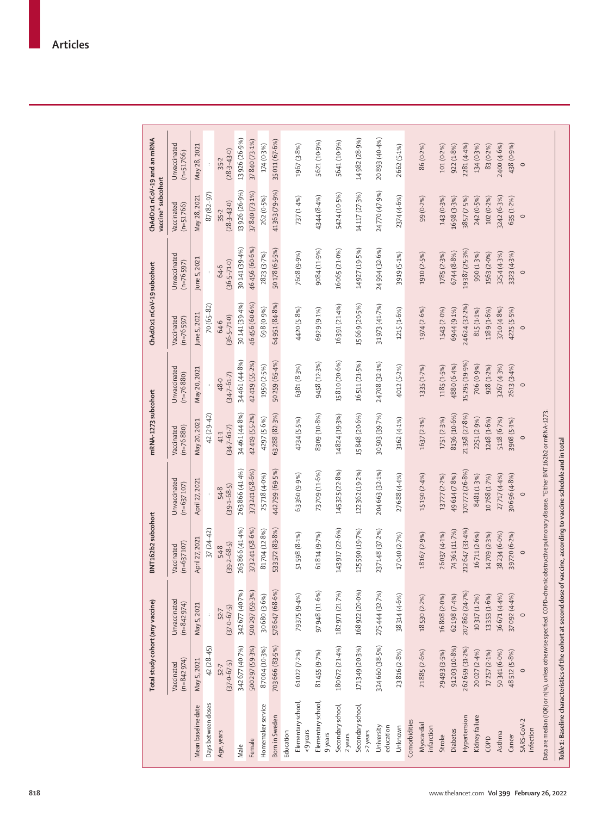|                                 | Total study cohort (any vaccine) |                              | BNT162b2 subcohort         |                              | mRNA-1273 subcohort         |                             | ChAdOx1 nCoV-19 subcohort |                             | ChAdOx1 nCoV-19 and an mRNA<br>vaccine* subcohort |                             |
|---------------------------------|----------------------------------|------------------------------|----------------------------|------------------------------|-----------------------------|-----------------------------|---------------------------|-----------------------------|---------------------------------------------------|-----------------------------|
|                                 | $(n=842974)$<br>Vaccinated       | Unvaccinated<br>$(n=842974)$ | $(n=637107)$<br>Vaccinated | Unvaccinated<br>$(n=637107)$ | $(n=76880)$<br>Vaccinated   | Unvaccinated<br>$(n=76880)$ | Vaccinated<br>$(n=76597)$ | Unvaccinated<br>$(n=76597)$ | $(n=51766)$<br>Vaccinated                         | Unvaccinated<br>$(n=51766)$ |
| Mean baseline date              | May 5, 2021                      | May 5, 2021                  | April 27, 2021             | April 27, 2021               | May 20, 2021                | May 20, 2021                | June 5, 2021              | June 5, 2021                | May 28, 2021                                      | May 28, 2021                |
| Days between doses              | 42 (28-45)                       |                              | $37(24-42)$                |                              | 42 (29-42)                  |                             | 70 (65-82)                |                             | 87 (82-97)                                        |                             |
| Age, years                      | $(37.0 - 67.5)$<br>52.7          | $(37.0 - 67.5)$<br>52.7      | $(39 - 2 - 68.5)$<br>54.8  | $(39.1 - 68.5)$<br>54.8      | $(34 - 7 - 61 - 7)$<br>41.1 | $(34 - 7 - 61 - 7)$<br>48.0 | $(36.5 - 71.0)$<br>64.6   | $(36.5 - 71.0)$<br>64.6     | $(28.3 - 43.0)$<br>35.2                           | $(28.3 - 43.0)$<br>35.2     |
| Male                            | 342677 (40.7%)                   | 342677 (40.7%)               | 263 866 (41.4%)            | 263866 (41-4%)               | 34461 (44.8%)               | 34461 (44.8%)               | 30141 (39-4%)             | 30141 (39.4%)               | 13926 (26.9%)                                     | 13926 (26.9%)               |
| Female                          | 500297 (59.3%)                   | 500297 (59.3%)               | 373 241 (58.6%)            | 373241 (58.6%)               | 42 419 (55-2%)              | 42419 (55-2%)               | 46456 (60.6%)             | 46456 (60.6%)               | 37840 (73.1%)                                     | 37840 (73.1%)               |
| Homemaker service               | 87004 (10.3%)                    | 30680 (3.6%)                 | 81704 (12.8%)              | 25718 (4.0%)                 | 4297 (5-6%)                 | 1950 (2.5%)                 | 698 (0.9%)                | 2823 (3.7%)                 | 262 (0.5%)                                        | 174 (0.3%)                  |
| Born in Sweden                  | 703 666 (83-5%)                  | 578647 (68.6%)               | 533572 (83.8%)             | 442799 (69.5%)               | 63288 (82-3%)               | 50259 (65.4%)               | 64951 (84-8%)             | 50178 (65-5%)               | 41363 (79.9%)                                     | 35011 (67.6%)               |
| Elementary school,<br>Education | 61022 (7-2%)                     | 79375 (9-4%)                 | 51598 (8.1%)               | 63360 (9.9%)                 | 4234 (5-5%)                 | 6381 (8-3%)                 | 4420 (5.8%)               | 7608 (9.9%)                 | 737 (1.4%)                                        | 1967 (3.8%)                 |
| <9 years                        |                                  |                              |                            |                              |                             |                             |                           |                             |                                                   |                             |
| Elementary school,<br>9 years   | 81455 (9-7%)                     | 97948 (11.6%)                | 61814 (9.7%)               | 73709 (11.6%)                | 8309 (10.8%)                | 9458 (12-3%)                | 6929 (9.1%)               | 9084 (11.9%)                | 4344 (8.4%)                                       | 5621 (10.9%)                |
| Secondary school,<br>2 years    | 180672 (21-4%)                   | 182 971 (21.7%)              | 143 917 (22.6%)            | 145 325 (22-8%)              | 14824 (19-3%)               | 15810 (20.6%)               | 16 391 (21-4%)            | 16 065 (21.0%)              | 5424 (10.5%)                                      | 5641 (10.9%)                |
| Secondary school,<br>>2 years   | 171349 (20-3%)                   | 168 922 (20.0%)              | 125590 (19.7%)             | 122 362 (19-2%)              | 15848 (20.6%)               | 16 511 (21-5%)              | 15669 (20-5%)             | 14927 (19-5%)               | 14117 (27.3%)                                     | 14982 (28.9%)               |
| University<br>education         | 324660 (38-5%)                   | 275444 (32.7%)               | 237148 (37.2%)             | 204 663 (32.1%)              | 30503 (39.7%)               | 24708 (32.1%)               | 31973 (41.7%)             | 24994 (32.6%)               | 24770 (47.9%)                                     | 20893 (40-4%)               |
| Unknown                         | 23816 (2.8%)                     | 38314 (4.6%)                 | 17040 (2.7%)               | 27688 (4.4%)                 | 3162 (4.1%)                 | 4012 (5-2%)                 | 1215 (1.6%)               | 3919 (5-1%)                 | 2374 (4.6%)                                       | 2662 (5.1%)                 |
| Comorbidities                   |                                  |                              |                            |                              |                             |                             |                           |                             |                                                   |                             |
| Myocardial<br>infarction        | 21885 (2.6%)                     | 18530 (2.2%)                 | 18167 (2.9%)               | 15190 (2.4%)                 | 1637 (2.1%)                 | 1335 (1.7%)                 | 1974 (2.6%)               | 1910 (2.5%)                 | 99 (0.2%)                                         | 86 (0.2%)                   |
| Stroke                          | 29493 (3.5%)                     | 16808(2.0%)                  | 26 037 (4:1%)              | 13727 (2.2%)                 | 1751 (2.3%)                 | 1185 (1.5%)                 | 1543 (2.0%)               | 1785 (2.3%)                 | 143 (0.3%)                                        | 101 (0.2%)                  |
| Diabetes                        | 91203 (10.8%)                    | 62198 (7.4%)                 | 74361 (11.7%)              | 49614 (7.8%)                 | 8136 (10.6%)                | 4880 (6.4%)                 | 6944 (9.1%)               | 6744 (8.8%)                 | 1698 (3.3%)                                       | 922(1.8%)                   |
| Hypertension                    | 262 659 (31.2%)                  | 207862 (24.7%)               | 212647 (33.4%)             | 170772 (26.8%)               | 21358 (27.8%)               | I5 295 (19.9%)              | 24624(32.2%)              | 19387 (25-3%)               | 3857 (7-5%)                                       | 2281 (4.4%)                 |
| Kidney failure                  | 20027 (2-4%)                     | 10317 (1.2%)                 | 16711 (2.6%)               | 8481 (1.3%)                  | 2251 (2.9%)                 | 706 (0.9%)                  | 815 (1.1%)                | 990 (1.3%)                  | 242 (0.5%)                                        | 134 (0.3%)                  |
| COPD                            | 17257 (2.1%)                     | 13353 (1.6%)                 | 14709 (2.3%)               | 10768 (1.7%)                 | 1248 (1.6%)                 | 928 (1.2%)                  | 1189 (1.6%)               | 1563 (2.0%)                 | 102 (0.2%)                                        | 83 (0.2%)                   |
| Asthma                          | 50341 (6.0%)                     | 36 671 (4.4%)                | 38234 (6.0%)               | 27717 (4.4%)                 | 5118 (6.7%)                 | 3267 (4.3%)                 | 3710 (4.8%)               | 3254 (4.3%)                 | 3242 (6.3%)                                       | 2400 (4.6%)                 |
| Cancer                          | 48512 (5.8%)                     | 37092 (4.4%)                 | 39720 (6.2%)               | 30696 (4.8%)                 | 3908 (5:1%)                 | 2613 (3.4%)                 | 4225 (5-5%)               | 3323 (4.3%)                 | 635 (1.2%)                                        | 438 (0.9%)                  |
| SARS-CoV-2                      | $\circ$                          | $\circ$                      | $\circ$                    | $\circ$                      | $\circ$                     | $\circ$                     | $\circ$                   | $\circ$                     | $\circ$                                           | $\circ$                     |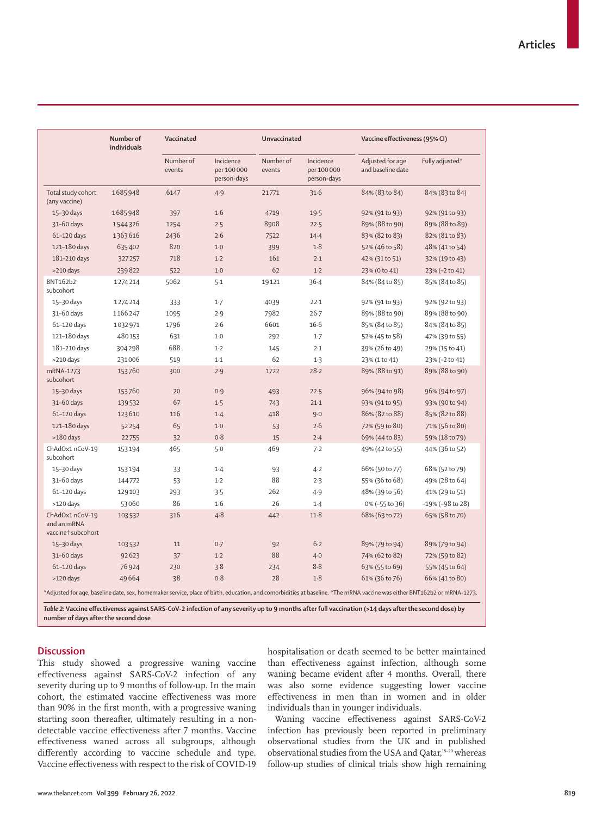|                                                                                                                                                                         | Number of<br>individuals | Vaccinated          |                                         | Unvaccinated        |                                         | Vaccine effectiveness (95% CI)        |                  |
|-------------------------------------------------------------------------------------------------------------------------------------------------------------------------|--------------------------|---------------------|-----------------------------------------|---------------------|-----------------------------------------|---------------------------------------|------------------|
|                                                                                                                                                                         |                          | Number of<br>events | Incidence<br>per 100 000<br>person-days | Number of<br>events | Incidence<br>per 100 000<br>person-days | Adjusted for age<br>and baseline date | Fully adjusted*  |
| Total study cohort<br>(any vaccine)                                                                                                                                     | 1685948                  | 6147                | 4.9                                     | 21771               | 31.6                                    | 84% (83 to 84)                        | 84% (83 to 84)   |
| 15-30 days                                                                                                                                                              | 1685948                  | 397                 | 1·6                                     | 4719                | 19.5                                    | 92% (91 to 93)                        | 92% (91 to 93)   |
| 31-60 days                                                                                                                                                              | 1544326                  | 1254                | 2.5                                     | 8908                | 22.5                                    | 89% (88 to 90)                        | 89% (88 to 89)   |
| 61-120 days                                                                                                                                                             | 1363616                  | 2436                | 2.6                                     | 7522                | $14 - 4$                                | 83% (82 to 83)                        | 82% (81 to 83)   |
| 121-180 days                                                                                                                                                            | 635402                   | 820                 | $1-0$                                   | 399                 | 1.8                                     | 52% (46 to 58)                        | 48% (41 to 54)   |
| 181-210 days                                                                                                                                                            | 327257                   | 718                 | $1-2$                                   | 161                 | 2.1                                     | 42% (31 to 51)                        | 32% (19 to 43)   |
| >210 days                                                                                                                                                               | 239822                   | 522                 | $1-0$                                   | 62                  | $1-2$                                   | 23% (0 to 41)                         | 23% (-2 to 41)   |
| BNT162b2<br>subcohort                                                                                                                                                   | 1274214                  | 5062                | 5.1                                     | 19121               | $36 - 4$                                | 84% (84 to 85)                        | 85% (84 to 85)   |
| 15-30 days                                                                                                                                                              | 1274214                  | 333                 | $1-7$                                   | 4039                | 22.1                                    | 92% (91 to 93)                        | 92% (92 to 93)   |
| 31-60 days                                                                                                                                                              | 1166247                  | 1095                | 2.9                                     | 7982                | $26 - 7$                                | 89% (88 to 90)                        | 89% (88 to 90)   |
| 61-120 days                                                                                                                                                             | 1032971                  | 1796                | 2.6                                     | 6601                | $16-6$                                  | 85% (84 to 85)                        | 84% (84 to 85)   |
| 121-180 days                                                                                                                                                            | 480153                   | 631                 | $1-0$                                   | 292                 | $1-7$                                   | 52% (45 to 58)                        | 47% (39 to 55)   |
| 181-210 days                                                                                                                                                            | 304298                   | 688                 | $1-2$                                   | 145                 | 2.1                                     | 39% (26 to 49)                        | 29% (15 to 41)   |
| >210 days                                                                                                                                                               | 231006                   | 519                 | $1-1$                                   | 62                  | 1.3                                     | 23% (1 to 41)                         | 23% (-2 to 41)   |
| mRNA-1273<br>subcohort                                                                                                                                                  | 153760                   | 300                 | 2.9                                     | 1722                | 28.2                                    | 89% (88 to 91)                        | 89% (88 to 90)   |
| 15-30 days                                                                                                                                                              | 153760                   | 20                  | 0.9                                     | 493                 | 22.5                                    | 96% (94 to 98)                        | 96% (94 to 97)   |
| 31-60 days                                                                                                                                                              | 139532                   | 67                  | 1.5                                     | 743                 | $21-1$                                  | 93% (91 to 95)                        | 93% (90 to 94)   |
| 61-120 days                                                                                                                                                             | 123610                   | 116                 | 1.4                                     | 418                 | $9 - 0$                                 | 86% (82 to 88)                        | 85% (82 to 88)   |
| 121-180 days                                                                                                                                                            | 52254                    | 65                  | $1-0$                                   | 53                  | 2.6                                     | 72% (59 to 80)                        | 71% (56 to 80)   |
| $>180$ days                                                                                                                                                             | 22755                    | 32                  | 0.8                                     | 15                  | 2.4                                     | 69% (44 to 83)                        | 59% (18 to 79)   |
| ChAdOx1 nCoV-19<br>subcohort                                                                                                                                            | 153194                   | 465                 | 5.0                                     | 469                 | 7.2                                     | 49% (42 to 55)                        | 44% (36 to 52)   |
| 15-30 days                                                                                                                                                              | 153194                   | 33                  | $1-4$                                   | 93                  | $4-2$                                   | 66% (50 to 77)                        | 68% (52 to 79)   |
| 31-60 days                                                                                                                                                              | 144772                   | 53                  | $1-2$                                   | 88                  | 2.3                                     | 55% (36 to 68)                        | 49% (28 to 64)   |
| 61-120 days                                                                                                                                                             | 129 103                  | 293                 | 3.5                                     | 262                 | 4.9                                     | 48% (39 to 56)                        | 41% (29 to 51)   |
| >120 days                                                                                                                                                               | 53060                    | 86                  | 1.6                                     | 26                  | 1.4                                     | 0% (-55 to 36)                        | -19% (-98 to 28) |
| ChAdOx1 nCoV-19<br>and an mRNA<br>vaccine† subcohort                                                                                                                    | 103532                   | 316                 | $4 - 8$                                 | 442                 | 11.8                                    | 68% (63 to 72)                        | 65% (58 to 70)   |
| 15-30 days                                                                                                                                                              | 103532                   | 11                  | 0.7                                     | 92                  | $6 - 2$                                 | 89% (79 to 94)                        | 89% (79 to 94)   |
| 31-60 days                                                                                                                                                              | 92623                    | 37                  | $1-2$                                   | 88                  | $4 - 0$                                 | 74% (62 to 82)                        | 72% (59 to 82)   |
| 61-120 days                                                                                                                                                             | 76924                    | 230                 | 3.8                                     | 234                 | 8.8                                     | 63% (55 to 69)                        | 55% (45 to 64)   |
| >120 days                                                                                                                                                               | 49664                    | 38                  | 0.8                                     | 28                  | 1.8                                     | 61% (36 to 76)                        | 66% (41 to 80)   |
| *Adjusted for age, baseline date, sex, homemaker service, place of birth, education, and comorbidities at baseline. †The mRNA vaccine was either BNT162b2 or mRNA-1273. |                          |                     |                                         |                     |                                         |                                       |                  |

## **Discussion**

This study showed a progressive waning vaccine effectiveness against SARS-CoV-2 infection of any severity during up to 9 months of follow-up. In the main cohort, the estimated vaccine effectiveness was more than 90% in the first month, with a progressive waning starting soon thereafter, ultimately resulting in a nondetectable vaccine effectiveness after 7 months. Vaccine effectiveness waned across all subgroups, although differently according to vaccine schedule and type. Vaccine effectiveness with respect to the risk of COVID-19 hospitalisation or death seemed to be better maintained than effectiveness against infection, although some waning became evident after 4 months. Overall, there was also some evidence suggesting lower vaccine effectiveness in men than in women and in older individuals than in younger individuals.

Waning vaccine effectiveness against SARS-CoV-2 infection has previously been reported in preliminary observational studies from the UK and in published observational studies from the USA and Qatar,<sup>18-20</sup> whereas follow-up studies of clinical trials show high remaining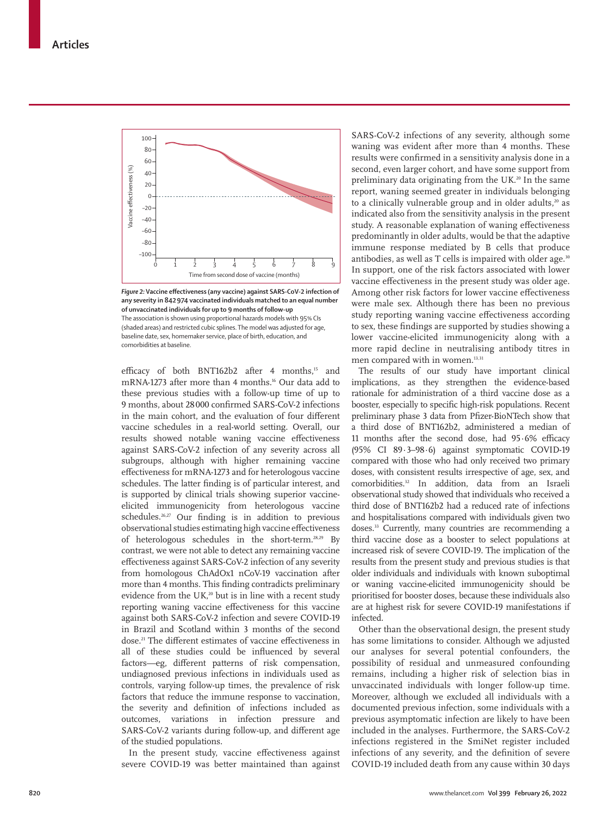

*Figure 2:* **Vaccine effectiveness (any vaccine) against SARS-CoV-2 infection of any severity in 842974 vaccinated individuals matched to an equal number of unvaccinated individuals for up to 9 months of follow-up** The association is shown using proportional hazards models with 95% CIs (shaded areas) and restricted cubic splines. The model was adjusted for age, baseline date, sex, homemaker service, place of birth, education, and comorbidities at baseline.

efficacy of both BNT162b2 after 4 months,<sup>15</sup> and mRNA-1273 after more than 4 months.<sup>16</sup> Our data add to these previous studies with a follow-up time of up to 9 months, about 28000 confirmed SARS-CoV-2 infections in the main cohort, and the evaluation of four different vaccine schedules in a real-world setting. Overall, our results showed notable waning vaccine effectiveness against SARS-CoV-2 infection of any severity across all subgroups, although with higher remaining vaccine effectiveness for mRNA-1273 and for heterologous vaccine schedules. The latter finding is of particular interest, and is supported by clinical trials showing superior vaccineelicited immunogenicity from heterologous vaccine schedules.<sup>26,27</sup> Our finding is in addition to previous observational studies estimating high vaccine effectiveness of heterologous schedules in the short-term.28,29 By contrast, we were not able to detect any remaining vaccine effectiveness against SARS-CoV-2 infection of any severity from homologous ChAdOx1 nCoV-19 vaccination after more than 4 months. This finding contradicts preliminary evidence from the UK, $^{20}$  but is in line with a recent study reporting waning vaccine effectiveness for this vaccine against both SARS-CoV-2 infection and severe COVID-19 in Brazil and Scotland within 3 months of the second dose.<sup>21</sup> The different estimates of vaccine effectiveness in all of these studies could be influenced by several factors—eg, different patterns of risk compensation, undiagnosed previous infections in individuals used as controls, varying follow-up times, the prevalence of risk factors that reduce the immune response to vaccination, the severity and definition of infections included as outcomes, variations in infection pressure and SARS-CoV-2 variants during follow-up, and different age of the studied populations.

In the present study, vaccine effectiveness against severe COVID-19 was better maintained than against SARS-CoV-2 infections of any severity, although some waning was evident after more than 4 months. These results were confirmed in a sensitivity analysis done in a second, even larger cohort, and have some support from preliminary data originating from the UK.<sup>20</sup> In the same report, waning seemed greater in individuals belonging to a clinically vulnerable group and in older adults, $20$  as indicated also from the sensitivity analysis in the present study. A reasonable explanation of waning effectiveness predominantly in older adults, would be that the adaptive immune response mediated by B cells that produce antibodies, as well as T cells is impaired with older age.<sup>30</sup> In support, one of the risk factors associated with lower vaccine effectiveness in the present study was older age. Among other risk factors for lower vaccine effectiveness were male sex. Although there has been no previous study reporting waning vaccine effectiveness according to sex, these findings are supported by studies showing a lower vaccine-elicited immunogenicity along with a more rapid decline in neutralising antibody titres in men compared with in women.<sup>13,31</sup>

The results of our study have important clinical implications, as they strengthen the evidence-based rationale for administration of a third vaccine dose as a booster, especially to specific high-risk populations. Recent preliminary phase 3 data from Pfizer-BioNTech show that a third dose of BNT162b2, administered a median of 11 months after the second dose, had 95·6% efficacy (95% CI 89·3–98·6) against symptomatic COVID-19 compared with those who had only received two primary doses, with consistent results irrespective of age, sex, and comorbidities.32 In addition, data from an Israeli observational study showed that individuals who received a third dose of BNT162b2 had a reduced rate of infections and hospitalisations compared with individuals given two doses.<sup>33</sup> Currently, many countries are recommending a third vaccine dose as a booster to select populations at increased risk of severe COVID-19. The implication of the results from the present study and previous studies is that older individuals and individuals with known suboptimal or waning vaccine-elicited immunogenicity should be prioritised for booster doses, because these individuals also are at highest risk for severe COVID-19 manifestations if infected.

Other than the observational design, the present study has some limitations to consider. Although we adjusted our analyses for several potential confounders, the possibility of residual and unmeasured confounding remains, including a higher risk of selection bias in unvaccinated individuals with longer follow-up time. Moreover, although we excluded all individuals with a documented previous infection, some individuals with a previous asymptomatic infection are likely to have been included in the analyses. Furthermore, the SARS-CoV-2 infections registered in the SmiNet register included infections of any severity, and the definition of severe COVID-19 included death from any cause within 30 days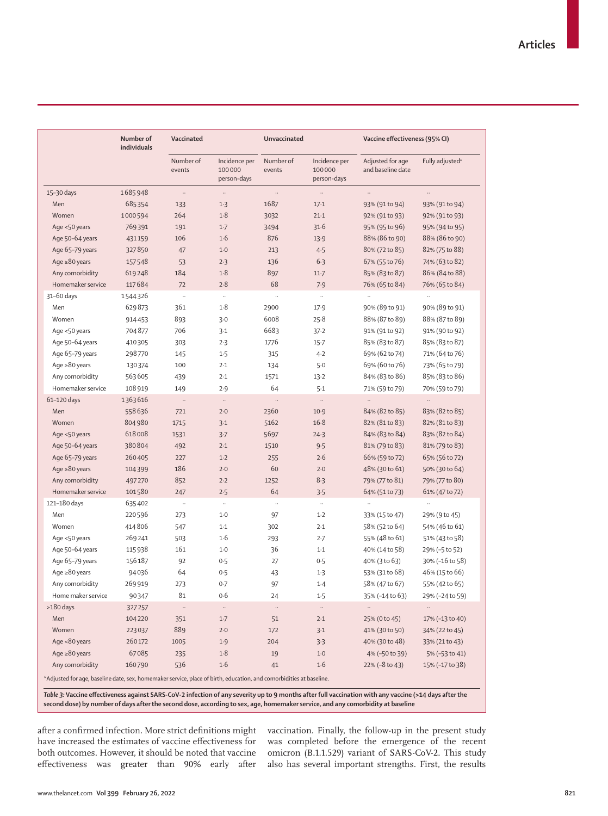|                                       | Number of<br>individuals | Vaccinated           |                                        | <b>Unvaccinated</b> |                                        | Vaccine effectiveness (95% CI)        |                             |
|---------------------------------------|--------------------------|----------------------|----------------------------------------|---------------------|----------------------------------------|---------------------------------------|-----------------------------|
|                                       |                          | Number of<br>events  | Incidence per<br>100000<br>person-days | Number of<br>events | Incidence per<br>100000<br>person-days | Adjusted for age<br>and baseline date | Fully adjusted <sup>a</sup> |
| 15-30 days                            | 1685948                  | $\ldots$             | $\ldots$                               | $\ldots$            | $\ldots$                               | $\ldots$                              | $\ddots$                    |
| Men                                   | 685354                   | 133                  | $1-3$                                  | 1687                | $17-1$                                 | 93% (91 to 94)                        | 93% (91 to 94)              |
| Women                                 | 1000594                  | 264                  | 1.8                                    | 3032                | $21-1$                                 | 92% (91 to 93)                        | 92% (91 to 93)              |
| Age <50 years                         | 769391                   | 191                  | $1-7$                                  | 3494                | 31.6                                   | 95% (95 to 96)                        | 95% (94 to 95)              |
| Age 50-64 years                       | 431159                   | 106                  | 1·6                                    | 876                 | 13.9                                   | 88% (86 to 90)                        | 88% (86 to 90)              |
| Age 65-79 years                       | 327850                   | 47                   | $1-0$                                  | 213                 | 4.5                                    | 80% (72 to 85)                        | 82% (75 to 88)              |
| Age $\geq 80$ years                   | 157548                   | 53                   | 2.3                                    | 136                 | $6-3$                                  | 67% (55 to 76)                        | 74% (63 to 82)              |
| Any comorbidity                       | 619248                   | 184                  | 1.8                                    | 897                 | $11-7$                                 | 85% (83 to 87)                        | 86% (84 to 88)              |
| Homemaker service                     | 117684                   | 72                   | 2.8                                    | 68                  | 7.9                                    | 76% (65 to 84)                        | 76% (65 to 84)              |
| 31-60 days                            | 1544326                  | $\ddot{\phantom{a}}$ | $\cdot$                                | $\ddotsc$           | $\ldots$                               |                                       |                             |
| Men                                   | 629873                   | 361                  | 1.8                                    | 2900                | 17.9                                   | 90% (89 to 91)                        | 90% (89 to 91)              |
| Women                                 | 914453                   | 893                  | 3.0                                    | 6008                | 25.8                                   | 88% (87 to 89)                        | 88% (87 to 89)              |
| Age <50 years                         | 704877                   | 706                  | 3.1                                    | 6683                | 37.2                                   | 91% (91 to 92)                        | 91% (90 to 92)              |
| Age 50-64 years                       | 410305                   | 303                  | 2.3                                    | 1776                | $15 - 7$                               | 85% (83 to 87)                        | 85% (83 to 87)              |
| Age 65-79 years                       | 298770                   | 145                  | 1.5                                    | 315                 | $4 - 2$                                | 69% (62 to 74)                        | 71% (64 to 76)              |
| Age $\geq 80$ years                   | 130374                   | 100                  | 2.1                                    | 134                 | 5.0                                    | 69% (60 to 76)                        | 73% (65 to 79)              |
| Any comorbidity                       | 563605                   | 439                  | 2.1                                    | 1571                | $13 - 2$                               | 84% (83 to 86)                        | 85% (83 to 86)              |
| Homemaker service                     | 108 919                  | 149                  | 2.9                                    | 64                  | $5-1$                                  | 71% (59 to 79)                        | 70% (59 to 79)              |
| 61-120 days                           | 1363616                  | $\ldots$             | $\ldots$                               | $\cdots$            | $\ldots$                               | $\ddotsc$                             |                             |
| Men                                   | 558636                   | 721                  | $2-0$                                  | 2360                | 10.9                                   | 84% (82 to 85)                        | 83% (82 to 85)              |
| Women                                 | 804980                   | 1715                 | 3.1                                    | 5162                | 16.8                                   | 82% (81 to 83)                        | 82% (81 to 83)              |
| Age <50 years                         | 618008                   | 1531                 | 3.7                                    | 5697                | 24.3                                   | 84% (83 to 84)                        | 83% (82 to 84)              |
| Age 50-64 years                       | 380804                   | 492                  | 2.1                                    | 1510                | 9.5                                    | 81% (79 to 83)                        | 81% (79 to 83)              |
| Age 65-79 years                       | 260405                   | 227                  | $1-2$                                  | 255                 | 2.6                                    | 66% (59 to 72)                        | 65% (56 to 72)              |
| Age $\geq 80$ years                   | 104399                   | 186                  | $2-0$                                  | 60                  | 2.0                                    | 48% (30 to 61)                        | 50% (30 to 64)              |
| Any comorbidity                       | 497270                   | 852                  | 2.2                                    | 1252                | 8.3                                    | 79% (77 to 81)                        | 79% (77 to 80)              |
| Homemaker service                     | 101580                   | 247                  | 2.5                                    | 64                  | 3.5                                    | 64% (51 to 73)                        | 61% (47 to 72)              |
| 121-180 days                          | 635402                   | $\ldots$             | $\cdot$                                | $\ldots$            | $\ldots$                               |                                       |                             |
| Men                                   | 220596                   | 273                  | $1-0$                                  | 97                  | $1-2$                                  | 33% (15 to 47)                        | 29% (9 to 45)               |
| Women                                 | 414806                   | 547                  | $1-1$                                  | 302                 | 2.1                                    | 58% (52 to 64)                        | 54% (46 to 61)              |
| Age <50 years                         | 269241                   | 503                  | 1.6                                    | 293                 | 2.7                                    | 55% (48 to 61)                        | 51% (43 to 58)              |
| Age 50-64 years                       | 115938                   | 161                  | $1-0$                                  | 36                  | $1-1$                                  | 40% (14 to 58)                        | 29% (-5 to 52)              |
| Age 65-79 years                       | 156187                   | 92                   | 0.5                                    | 27                  | 0.5                                    | 40% (3 to 63)                         | 30% (-16 to 58)             |
| Age $\geq 80$ years                   | 94036                    | 64                   | 0.5                                    | 43                  | 1.3                                    | 53% (31 to 68)                        | 46% (15 to 66)              |
|                                       |                          |                      |                                        |                     |                                        | 58% (47 to 67)                        |                             |
| Any comorbidity<br>Home maker service | 269919                   | 273                  | 0.7<br>0.6                             | 97                  | $1-4$                                  |                                       | 55% (42 to 65)              |
|                                       | 90347                    | 81                   |                                        | 24                  | 1.5                                    | 35% (-14 to 63)                       | 29% (-24 to 59)             |
| $>180$ days                           | 327257                   | $\cdots$             | $\cdot\cdot$                           | $\cdots$            | $\cdot\cdot$                           | $\cdots$                              | $\ddotsc$                   |
| Men                                   | 104220                   | 351                  | $1-7$                                  | 51                  | $2-1$                                  | 25% (0 to 45)                         | 17% (-13 to 40)             |
| Women                                 | 223037                   | 889                  | $2-0$                                  | 172                 | $3-1$                                  | 41% (30 to 50)                        | 34% (22 to 45)              |
| Age <80 years                         | 260172                   | 1005                 | 1.9                                    | 204                 | 3.3                                    | 40% (30 to 48)                        | 33% (21 to 43)              |
| Age $\geq 80$ years                   | 67085                    | 235                  | 1.8                                    | 19                  | $1-0$                                  | 4% (-50 to 39)                        | 5% (-53 to 41)              |
| Any comorbidity                       | 160790                   | 536                  | 1·6                                    | 41                  | 1·6                                    | 22% (-8 to 43)                        | 15% (-17 to 38)             |

*Table 3:* **Vaccine effectiveness against SARS-CoV-2 infection of any severity up to 9 months after full vaccination with any vaccine (>14 days after the second dose) by number of days after the second dose, according to sex, age, homemaker service, and any comorbidity at baseline**

after a confirmed infection. More strict definitions might have increased the estimates of vaccine effectiveness for both outcomes. However, it should be noted that vaccine effectiveness was greater than 90% early after

vaccination. Finally, the follow-up in the present study was completed before the emergence of the recent omicron (B.1.1.529) variant of SARS-CoV-2. This study also has several important strengths. First, the results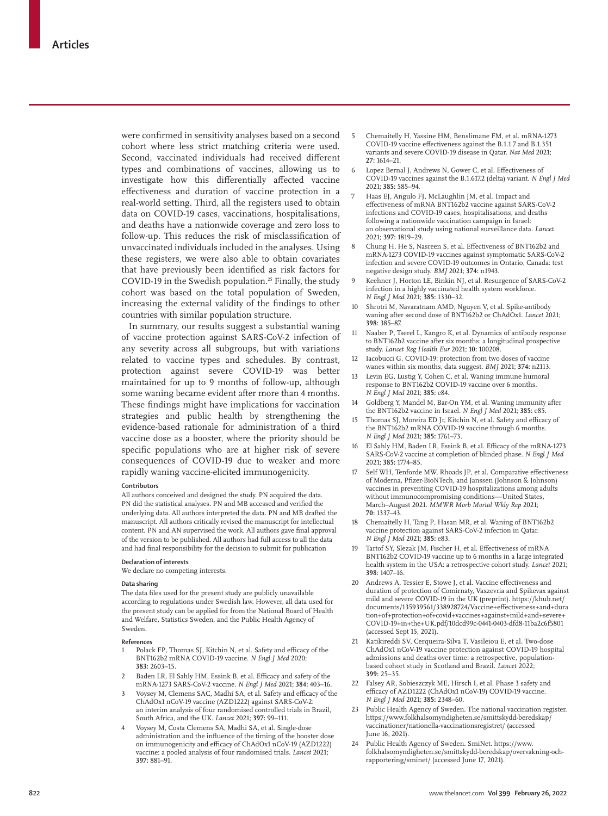were confirmed in sensitivity analyses based on a second cohort where less strict matching criteria were used. Second, vaccinated individuals had received different types and combinations of vaccines, allowing us to investigate how this differentially affected vaccine effectiveness and duration of vaccine protection in a real-world setting. Third, all the registers used to obtain data on COVID-19 cases, vaccinations, hospitalisations, and deaths have a nationwide coverage and zero loss to follow-up. This reduces the risk of misclassification of unvaccinated individuals included in the analyses. Using these registers, we were also able to obtain covariates that have previously been identified as risk factors for COVID-19 in the Swedish population.<sup>25</sup> Finally, the study cohort was based on the total population of Sweden, increasing the external validity of the findings to other countries with similar population structure.

In summary, our results suggest a substantial waning of vaccine protection against SARS-CoV-2 infection of any severity across all subgroups, but with variations related to vaccine types and schedules. By contrast, protection against severe COVID-19 was better maintained for up to 9 months of follow-up, although some waning became evident after more than 4 months. These findings might have implications for vaccination strategies and public health by strengthening the evidence-based rationale for administration of a third vaccine dose as a booster, where the priority should be specific populations who are at higher risk of severe consequences of COVID-19 due to weaker and more rapidly waning vaccine-elicited immunogenicity.

#### **Contributors**

All authors conceived and designed the study. PN acquired the data. PN did the statistical analyses. PN and MB accessed and verified the underlying data. All authors interpreted the data. PN and MB drafted the manuscript. All authors critically revised the manuscript for intellectual content. PN and AN supervised the work. All authors gave final approval of the version to be published. All authors had full access to all the data and had final responsibility for the decision to submit for publication

#### **Declaration of interests**

We declare no competing interests.

#### **Data sharing**

The data files used for the present study are publicly unavailable according to regulations under Swedish law. However, all data used for the present study can be applied for from the National Board of Health and Welfare, Statistics Sweden, and the Public Health Agency of Sweden.

#### **References**

- Polack FP, Thomas SJ, Kitchin N, et al. Safety and efficacy of the BNT162b2 mRNA COVID-19 vaccine. *N Engl J Med* 2020; **383:** 2603–15.
- 2 Baden LR, El Sahly HM, Essink B, et al. Efficacy and safety of the mRNA-1273 SARS-CoV-2 vaccine. *N Engl J Med* 2021; **384:** 403–16.
- 3 Voysey M, Clemens SAC, Madhi SA, et al. Safety and efficacy of the ChAdOx1 nCoV-19 vaccine (AZD1222) against SARS-CoV-2: an interim analysis of four randomised controlled trials in Brazil, South Africa, and the UK. *Lancet* 2021; **397:** 99–111.
- 4 Voysey M, Costa Clemens SA, Madhi SA, et al. Single-dose administration and the influence of the timing of the booster dose on immunogenicity and efficacy of ChAdOx1 nCoV-19 (AZD1222) vaccine: a pooled analysis of four randomised trials. *Lancet* 2021; **397:** 881–91.
- 5 Chemaitelly H, Yassine HM, Benslimane FM, et al. mRNA-1273 COVID-19 vaccine effectiveness against the B.1.1.7 and B.1.351 variants and severe COVID-19 disease in Qatar. *Nat Med* 2021; **27:** 1614–21.
- 6 Lopez Bernal J, Andrews N, Gower C, et al. Effectiveness of COVID-19 vaccines against the B.1.617.2 (delta) variant. *N Engl J Med* 2021; **385:** 585–94.
- Haas EJ, Angulo FJ, McLaughlin JM, et al. Impact and effectiveness of mRNA BNT162b2 vaccine against SARS-CoV-2 infections and COVID-19 cases, hospitalisations, and deaths following a nationwide vaccination campaign in Israel: an observational study using national surveillance data. *Lancet* 2021; **397:** 1819–29.
- 8 Chung H, He S, Nasreen S, et al. Effectiveness of BNT162b2 and mRNA-1273 COVID-19 vaccines against symptomatic SARS-CoV-2 infection and severe COVID-19 outcomes in Ontario, Canada: test negative design study. *BMJ* 2021; **374:** n1943.
- Keehner J, Horton LE, Binkin NJ, et al. Resurgence of SARS-CoV-2 infection in a highly vaccinated health system workforce. *N Engl J Med* 2021; **385:** 1330–32.
- 10 Shrotri M, Navaratnam AMD, Nguyen V, et al. Spike-antibody waning after second dose of BNT162b2 or ChAdOx1. *Lancet* 2021; **398:** 385–87.
- 11 Naaber P, Tserel L, Kangro K, et al. Dynamics of antibody response to BNT162b2 vaccine after six months: a longitudinal prospective study. *Lancet Reg Health Eur* 2021; **10:** 100208.
- Iacobucci G. COVID-19: protection from two doses of vaccine wanes within six months, data suggest. *BMJ* 2021; **374:** n2113.
- 13 Levin EG, Lustig Y, Cohen C, et al. Waning immune humoral response to BNT162b2 COVID-19 vaccine over 6 months. *N Engl J Med* 2021; **385:** e84.
- 14 Goldberg Y, Mandel M, Bar-On YM, et al. Waning immunity after the BNT162b2 vaccine in Israel. *N Engl J Med* 2021; **385:** e85.
- 15 Thomas SJ, Moreira ED Jr, Kitchin N, et al. Safety and efficacy of the BNT162b2 mRNA COVID-19 vaccine through 6 months. *N Engl J Med* 2021; **385:** 1761–73.
- 16 El Sahly HM, Baden LR, Essink B, et al. Efficacy of the mRNA-1273 SARS-CoV-2 vaccine at completion of blinded phase. *N Engl J Med* 2021; **385:** 1774–85.
- 17 Self WH, Tenforde MW, Rhoads JP, et al. Comparative effectiveness of Moderna, Pfizer-BioNTech, and Janssen (Johnson & Johnson) vaccines in preventing COVID-19 hospitalizations among adults without immunocompromising conditions—United States, March–August 2021. *MMWR Morb Mortal Wkly Rep* 2021; **70:** 1337–43.
- 18 Chemaitelly H, Tang P, Hasan MR, et al. Waning of BNT162b2 vaccine protection against SARS-CoV-2 infection in Qatar. *N Engl J Med* 2021; **385:** e83.
- Tartof SY, Slezak JM, Fischer H, et al. Effectiveness of mRNA BNT162b2 COVID-19 vaccine up to 6 months in a large integrated health system in the USA: a retrospective cohort study. *Lancet* 2021; **398:** 1407–16.
- Andrews A, Tessier E, Stowe J, et al. Vaccine effectiveness and duration of protection of Comirnaty, Vaxzevria and Spikevax against mild and severe COVID-19 in the UK (preprint). https://khub.net/ documents/135939561/338928724/Vaccine+effectiveness+and+dura tion+of+protection+of+covid+vaccines+against+mild+and+severe+ COVID-19+in+the+UK.pdf/10dcd99c-0441-0403-dfd8-11ba2c6f5801 (accessed Sept 15, 2021).
- Katikireddi SV, Cerqueira-Silva T, Vasileiou E, et al. Two-dose ChAdOx1 nCoV-19 vaccine protection against COVID-19 hospital admissions and deaths over time: a retrospective, populationbased cohort study in Scotland and Brazil. *Lancet* 2022; **399:** 25–35.
- 22 Falsey AR, Sobieszczyk ME, Hirsch I, et al. Phase 3 safety and efficacy of AZD1222 (ChAdOx1 nCoV-19) COVID-19 vaccine. *N Engl J Med* 2021; **385:** 2348–60.
- 23 Public Health Agency of Sweden. The national vaccination register. https://www.folkhalsomyndigheten.se/smittskydd-beredskap/ vaccinationer/nationella-vaccinationsregistret/ (accessed June 16, 2021).
- 24 Public Health Agency of Sweden. SmiNet. https://www. folkhalsomyndigheten.se/smittskydd-beredskap/overvakning-ochrapportering/sminet/ (accessed June 17, 2021).